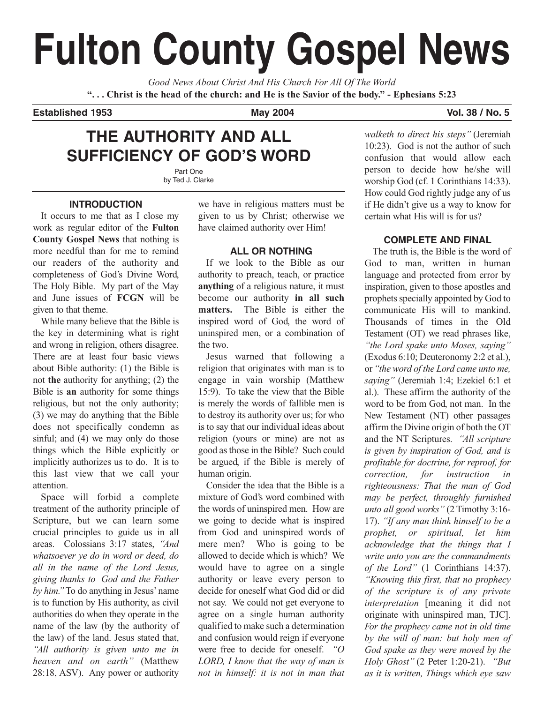# **Fulton County Gospel News**

*Good News About Christ And His Church For All Of The World* **". . . Christ is the head of the church: and He is the Savior of the body." - Ephesians 5:23**

**Established 1953 May 2004 Vol. 38 / No. 5**

# **THE AUTHORITY AND ALL SUFFICIENCY OF GOD'S WORD**

Part One by Ted J. Clarke

## **INTRODUCTION**

It occurs to me that as I close my work as regular editor of the **Fulton County Gospel News** that nothing is more needful than for me to remind our readers of the authority and completeness of God's Divine Word, The Holy Bible. My part of the May and June issues of **FCGN** will be given to that theme.

While many believe that the Bible is the key in determining what is right and wrong in religion, others disagree. There are at least four basic views about Bible authority: (1) the Bible is not **the** authority for anything; (2) the Bible is **an** authority for some things religious, but not the only authority; (3) we may do anything that the Bible does not specifically condemn as sinful; and (4) we may only do those things which the Bible explicitly or implicitly authorizes us to do. It is to this last view that we call your attention.

Space will forbid a complete treatment of the authority principle of Scripture, but we can learn some crucial principles to guide us in all areas. Colossians 3:17 states, *"And whatsoever ye do in word or deed, do all in the name of the Lord Jesus, giving thanks to God and the Father by him."* To do anything in Jesus' name is to function by His authority, as civil authorities do when they operate in the name of the law (by the authority of the law) of the land. Jesus stated that, *"All authority is given unto me in heaven and on earth"* (Matthew 28:18, ASV). Any power or authority

we have in religious matters must be given to us by Christ; otherwise we have claimed authority over Him!

# **ALL OR NOTHING**

If we look to the Bible as our authority to preach, teach, or practice **anything** of a religious nature, it must become our authority **in all such matters.** The Bible is either the inspired word of God, the word of uninspired men, or a combination of the two.

Jesus warned that following a religion that originates with man is to engage in vain worship (Matthew 15:9). To take the view that the Bible is merely the words of fallible men is to destroy its authority over us; for who is to say that our individual ideas about religion (yours or mine) are not as good as those in the Bible? Such could be argued, if the Bible is merely of human origin.

Consider the idea that the Bible is a mixture of God's word combined with the words of uninspired men. How are we going to decide what is inspired from God and uninspired words of mere men? Who is going to be allowed to decide which is which? We would have to agree on a single authority or leave every person to decide for oneself what God did or did not say. We could not get everyone to agree on a single human authority qualified to make such a determination and confusion would reign if everyone were free to decide for oneself. *"O LORD, I know that the way of man is not in himself: it is not in man that*

*walketh to direct his steps"* (Jeremiah 10:23). God is not the author of such confusion that would allow each person to decide how he/she will worship God (cf. 1 Corinthians 14:33). How could God rightly judge any of us if He didn't give us a way to know for certain what His will is for us?

## **COMPLETE AND FINAL**

The truth is, the Bible is the word of God to man, written in human language and protected from error by inspiration, given to those apostles and prophets specially appointed by God to communicate His will to mankind. Thousands of times in the Old Testament (OT) we read phrases like, *"the Lord spake unto Moses, saying"* (Exodus 6:10; Deuteronomy 2:2 et al.), or*"the word of the Lord came unto me, saying"* (Jeremiah 1:4; Ezekiel 6:1 et al.). These affirm the authority of the word to be from God, not man. In the New Testament (NT) other passages affirm the Divine origin of both the OT and the NT Scriptures. *"All scripture is given by inspiration of God, and is profitable for doctrine, for reproof, for correction, for instruction in righteousness: That the man of God may be perfect, throughly furnished unto all good works"* (2 Timothy 3:16- 17). *"If any man think himself to be a prophet, or spiritual, let him acknowledge that the things that I write unto you are the commandments of the Lord"* (1 Corinthians 14:37). *"Knowing this first, that no prophecy of the scripture is of any private interpretation* [meaning it did not originate with uninspired man, TJC]. *For the prophecy came not in old time by the will of man: but holy men of God spake as they were moved by the Holy Ghost"* (2 Peter 1:20-21). *"But as it is written, Things which eye saw*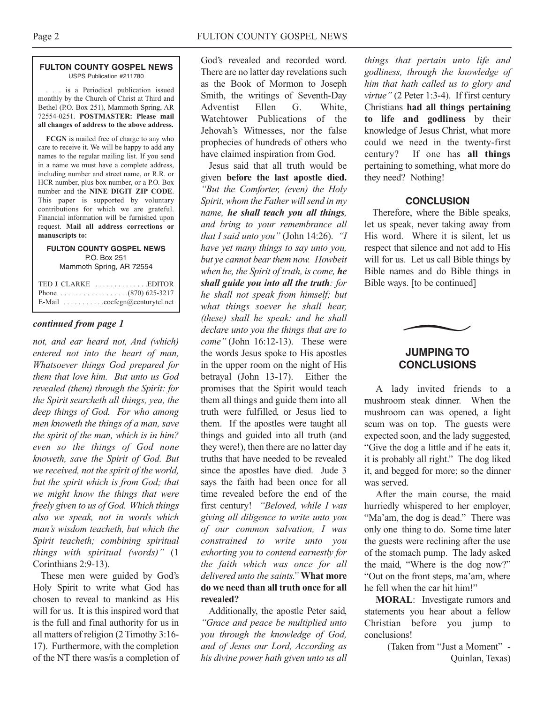#### **FULTON COUNTY GOSPEL NEWS** USPS Publication #211780

. . . is a Periodical publication issued monthly by the Church of Christ at Third and Bethel (P.O. Box 251), Mammoth Spring, AR 72554-0251. **POSTMASTER: Please mail all changes of address to the above address.**

**FCGN** is mailed free of charge to any who care to receive it. We will be happy to add any names to the regular mailing list. If you send in a name we must have a complete address, including number and street name, or R.R. or HCR number, plus box number, or a P.O. Box number and the **NINE DIGIT ZIP CODE**. This paper is supported by voluntary contributions for which we are grateful. Financial information will be furnished upon request. **Mail all address corrections or manuscripts to:**

#### **FULTON COUNTY GOSPEL NEWS** P.O. Box 251 Mammoth Spring, AR 72554

| TED J. CLARKE EDITOR                                        |
|-------------------------------------------------------------|
| Phone $\ldots \ldots \ldots \ldots \ldots (870) 625-3217$   |
| E-Mail $\ldots \ldots \ldots \ldots$ cocfcgn@centurytel.net |

#### *continued from page 1*

*not, and ear heard not, And (which) entered not into the heart of man, Whatsoever things God prepared for them that love him. But unto us God revealed (them) through the Spirit: for the Spirit searcheth all things, yea, the deep things of God. For who among men knoweth the things of a man, save the spirit of the man, which is in him? even so the things of God none knoweth, save the Spirit of God. But we received, not the spirit of the world, but the spirit which is from God; that we might know the things that were freely given to us of God. Which things also we speak, not in words which man's wisdom teacheth, but which the Spirit teacheth; combining spiritual things with spiritual (words)"* (1 Corinthians 2:9-13).

These men were guided by God's Holy Spirit to write what God has chosen to reveal to mankind as His will for us. It is this inspired word that is the full and final authority for us in all matters of religion (2 Timothy 3:16- 17). Furthermore, with the completion of the NT there was/is a completion of

God's revealed and recorded word. There are no latter day revelations such as the Book of Mormon to Joseph Smith, the writings of Seventh-Day Adventist Ellen G. White, Watchtower Publications of the Jehovah's Witnesses, nor the false prophecies of hundreds of others who have claimed inspiration from God.

Jesus said that all truth would be given **before the last apostle died.** *"But the Comforter, (even) the Holy Spirit, whom the Father will send in my name, he shall teach you all things, and bring to your remembrance all that I said unto you"* (John 14:26). *"I have yet many things to say unto you, but ye cannot bear them now. Howbeit when he, the Spirit of truth, is come, he shall guide you into all the truth: for he shall not speak from himself; but what things soever he shall hear, (these) shall he speak: and he shall declare unto you the things that are to come"* (John 16:12-13). These were the words Jesus spoke to His apostles in the upper room on the night of His betrayal (John 13-17). Either the promises that the Spirit would teach them all things and guide them into all truth were fulfilled, or Jesus lied to them. If the apostles were taught all things and guided into all truth (and they were!), then there are no latter day truths that have needed to be revealed since the apostles have died. Jude 3 says the faith had been once for all time revealed before the end of the first century! *"Beloved, while I was giving all diligence to write unto you of our common salvation, I was constrained to write unto you exhorting you to contend earnestly for the faith which was once for all delivered unto the saints."* **What more do we need than all truth once for all revealed?**

Additionally, the apostle Peter said, *"Grace and peace be multiplied unto you through the knowledge of God, and of Jesus our Lord, According as his divine power hath given unto us all*

*things that pertain unto life and godliness, through the knowledge of him that hath called us to glory and virtue"* (2 Peter 1:3-4). If first century Christians **had all things pertaining to life and godliness** by their knowledge of Jesus Christ, what more could we need in the twenty-first century? If one has **all things** pertaining to something, what more do they need? Nothing!

#### **CONCLUSION**

Therefore, where the Bible speaks, let us speak, never taking away from His word. Where it is silent, let us respect that silence and not add to His will for us. Let us call Bible things by Bible names and do Bible things in Bible ways. [to be continued]

# **JUMPING TO CONCLUSIONS**

 $\overline{\phantom{1}}$ 

A lady invited friends to a mushroom steak dinner. When the mushroom can was opened, a light scum was on top. The guests were expected soon, and the lady suggested, "Give the dog a little and if he eats it, it is probably all right." The dog liked it, and begged for more; so the dinner was served.

After the main course, the maid hurriedly whispered to her employer, "Ma'am, the dog is dead." There was only one thing to do. Some time later the guests were reclining after the use of the stomach pump. The lady asked the maid, "Where is the dog now?" "Out on the front steps, ma'am, where he fell when the car hit him!"

**MORAL**: Investigate rumors and statements you hear about a fellow Christian before you jump to conclusions!

> (Taken from "Just a Moment" - Quinlan, Texas)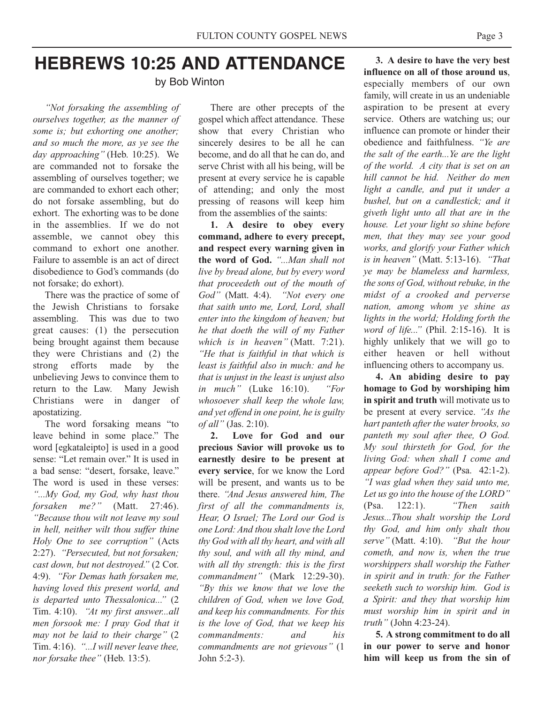# **HEBREWS 10:25 AND ATTENDANCE**

by Bob Winton

*"Not forsaking the assembling of ourselves together, as the manner of some is; but exhorting one another; and so much the more, as ye see the day approaching"* (Heb. 10:25). We are commanded not to forsake the assembling of ourselves together; we are commanded to exhort each other; do not forsake assembling, but do exhort. The exhorting was to be done in the assemblies. If we do not assemble, we cannot obey this command to exhort one another. Failure to assemble is an act of direct disobedience to God's commands (do not forsake; do exhort).

There was the practice of some of the Jewish Christians to forsake assembling. This was due to two great causes: (1) the persecution being brought against them because they were Christians and (2) the strong efforts made by the unbelieving Jews to convince them to return to the Law. Many Jewish Christians were in danger of apostatizing.

The word forsaking means "to leave behind in some place." The word [egkataleipto] is used in a good sense: "Let remain over." It is used in a bad sense: "desert, forsake, leave." The word is used in these verses: *"...My God, my God, why hast thou forsaken me?"* (Matt. 27:46). *"Because thou wilt not leave my soul in hell, neither wilt thou suffer thine Holy One to see corruption"* (Acts 2:27). *"Persecuted, but not forsaken; cast down, but not destroyed."* (2 Cor. 4:9). *"For Demas hath forsaken me, having loved this present world, and is departed unto Thessalonica..."* (2 Tim. 4:10). *"At my first answer...all men forsook me: I pray God that it may not be laid to their charge"* (2 Tim. 4:16). *"...I will never leave thee, nor forsake thee"* (Heb. 13:5).

There are other precepts of the gospel which affect attendance. These show that every Christian who sincerely desires to be all he can become, and do all that he can do, and serve Christ with all his being, will be present at every service he is capable of attending; and only the most pressing of reasons will keep him from the assemblies of the saints:

**1. A desire to obey every command, adhere to every precept, and respect every warning given in the word of God.** *"...Man shall not live by bread alone, but by every word that proceedeth out of the mouth of God"* (Matt. 4:4). *"Not every one that saith unto me, Lord, Lord, shall enter into the kingdom of heaven; but he that doeth the will of my Father which is in heaven"* (Matt. 7:21). *"He that is faithful in that which is least is faithful also in much: and he that is unjust in the least is unjust also in much"* (Luke 16:10). *"For whosoever shall keep the whole law, and yet offend in one point, he is guilty of all"* (Jas. 2:10).

**2. Love for God and our precious Savior will provoke us to earnestly desire to be present at every service**, for we know the Lord will be present, and wants us to be there. *"And Jesus answered him, The first of all the commandments is, Hear, O Israel; The Lord our God is one Lord: And thou shalt love the Lord thy God with all thy heart, and with all thy soul, and with all thy mind, and with all thy strength: this is the first commandment"* (Mark 12:29-30). *"By this we know that we love the children of God, when we love God, and keep his commandments. For this is the love of God, that we keep his commandments: and his commandments are not grievous"* (1 John 5:2-3).

**3. A desire to have the very best influence on all of those around us**, especially members of our own family, will create in us an undeniable aspiration to be present at every service. Others are watching us; our influence can promote or hinder their obedience and faithfulness. *"Ye are the salt of the earth...Ye are the light of the world. A city that is set on an hill cannot be hid. Neither do men light a candle, and put it under a bushel, but on a candlestick; and it giveth light unto all that are in the house. Let your light so shine before men, that they may see your good works, and glorify your Father which is in heaven"* (Matt. 5:13-16). *"That ye may be blameless and harmless, the sons of God, without rebuke, in the midst of a crooked and perverse nation, among whom ye shine as lights in the world; Holding forth the word of life..."* (Phil. 2:15-16). It is highly unlikely that we will go to either heaven or hell without influencing others to accompany us.

**4. An abiding desire to pay homage to God by worshiping him in spirit and truth** will motivate us to be present at every service. *"As the hart panteth after the water brooks, so panteth my soul after thee, O God. My soul thirsteth for God, for the living God: when shall I come and appear before God?"* (Psa. 42:1-2). *"I was glad when they said unto me, Let us go into the house of the LORD"* (Psa. 122:1). *"Then saith Jesus...Thou shalt worship the Lord thy God, and him only shalt thou serve"* (Matt. 4:10). *"But the hour cometh, and now is, when the true worshippers shall worship the Father in spirit and in truth: for the Father seeketh such to worship him. God is a Spirit: and they that worship him must worship him in spirit and in truth"* (John 4:23-24).

**5. A strong commitment to do all in our power to serve and honor him will keep us from the sin of**